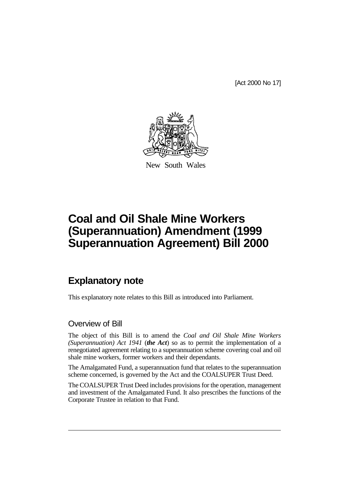[Act 2000 No 17]



New South Wales

# **Coal and Oil Shale Mine Workers (Superannuation) Amendment (1999 Superannuation Agreement) Bill 2000**

# **Explanatory note**

This explanatory note relates to this Bill as introduced into Parliament.

# Overview of Bill

The object of this Bill is to amend the *Coal and Oil Shale Mine Workers (Superannuation) Act 1941* (*the Act*) so as to permit the implementation of a renegotiated agreement relating to a superannuation scheme covering coal and oil shale mine workers, former workers and their dependants.

The Amalgamated Fund, a superannuation fund that relates to the superannuation scheme concerned, is governed by the Act and the COALSUPER Trust Deed.

The COALSUPER Trust Deed includes provisions for the operation, management and investment of the Amalgamated Fund. It also prescribes the functions of the Corporate Trustee in relation to that Fund.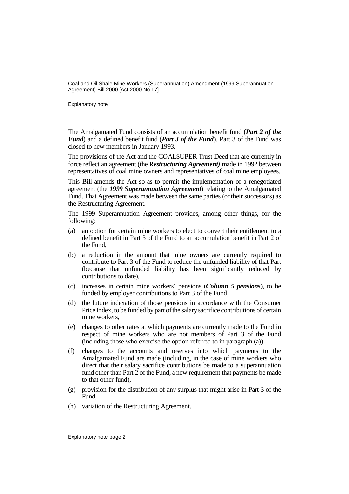Explanatory note

The Amalgamated Fund consists of an accumulation benefit fund (*Part 2 of the Fund*) and a defined benefit fund (*Part 3 of the Fund*). Part 3 of the Fund was closed to new members in January 1993.

The provisions of the Act and the COALSUPER Trust Deed that are currently in force reflect an agreement (the *Restructuring Agreement)* made in 1992 between representatives of coal mine owners and representatives of coal mine employees.

This Bill amends the Act so as to permit the implementation of a renegotiated agreement (the *1999 Superannuation Agreement*) relating to the Amalgamated Fund. That Agreement was made between the same parties (or their successors) as the Restructuring Agreement.

The 1999 Superannuation Agreement provides, among other things, for the following:

- (a) an option for certain mine workers to elect to convert their entitlement to a defined benefit in Part 3 of the Fund to an accumulation benefit in Part 2 of the Fund,
- (b) a reduction in the amount that mine owners are currently required to contribute to Part 3 of the Fund to reduce the unfunded liability of that Part (because that unfunded liability has been significantly reduced by contributions to date),
- (c) increases in certain mine workers' pensions (*Column 5 pensions*), to be funded by employer contributions to Part 3 of the Fund,
- (d) the future indexation of those pensions in accordance with the Consumer Price Index, to be funded by part of the salary sacrifice contributions of certain mine workers,
- (e) changes to other rates at which payments are currently made to the Fund in respect of mine workers who are not members of Part 3 of the Fund (including those who exercise the option referred to in paragraph (a)),
- (f) changes to the accounts and reserves into which payments to the Amalgamated Fund are made (including, in the case of mine workers who direct that their salary sacrifice contributions be made to a superannuation fund other than Part 2 of the Fund, a new requirement that payments be made to that other fund),
- (g) provision for the distribution of any surplus that might arise in Part 3 of the Fund,
- (h) variation of the Restructuring Agreement.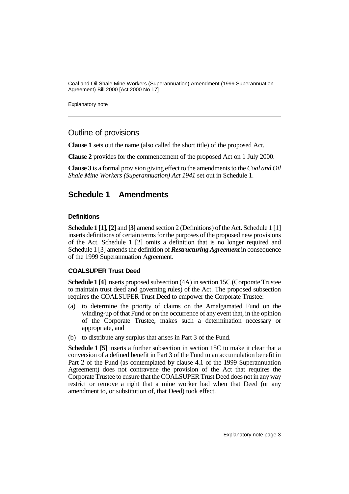Explanatory note

# Outline of provisions

**Clause 1** sets out the name (also called the short title) of the proposed Act.

**Clause 2** provides for the commencement of the proposed Act on 1 July 2000.

**Clause 3** is a formal provision giving effect to the amendments to the *Coal and Oil Shale Mine Workers (Superannuation) Act 1941* set out in Schedule 1.

# **Schedule 1 Amendments**

## **Definitions**

**Schedule 1 [1]**, **[2]** and **[3]** amend section 2 (Definitions) of the Act. Schedule 1 [1] inserts definitions of certain terms for the purposes of the proposed new provisions of the Act. Schedule 1 [2] omits a definition that is no longer required and Schedule 1 [3] amends the definition of *Restructuring Agreement* in consequence of the 1999 Superannuation Agreement.

# **COALSUPER Trust Deed**

**Schedule 1 [4]** inserts proposed subsection (4A) in section 15C (Corporate Trustee to maintain trust deed and governing rules) of the Act. The proposed subsection requires the COALSUPER Trust Deed to empower the Corporate Trustee:

- (a) to determine the priority of claims on the Amalgamated Fund on the winding-up of that Fund or on the occurrence of any event that, in the opinion of the Corporate Trustee, makes such a determination necessary or appropriate, and
- (b) to distribute any surplus that arises in Part 3 of the Fund.

**Schedule 1 [5]** inserts a further subsection in section 15C to make it clear that a conversion of a defined benefit in Part 3 of the Fund to an accumulation benefit in Part 2 of the Fund (as contemplated by clause 4.1 of the 1999 Superannuation Agreement) does not contravene the provision of the Act that requires the Corporate Trustee to ensure that the COALSUPER Trust Deed does not in any way restrict or remove a right that a mine worker had when that Deed (or any amendment to, or substitution of, that Deed) took effect.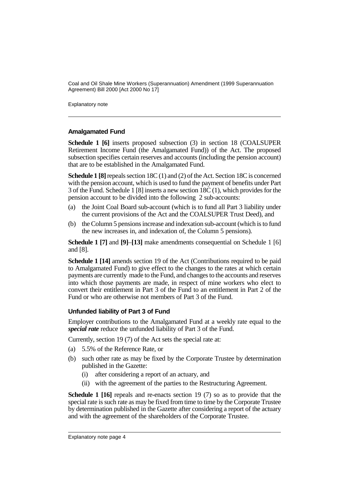Explanatory note

#### **Amalgamated Fund**

**Schedule 1 [6]** inserts proposed subsection (3) in section 18 (COALSUPER Retirement Income Fund (the Amalgamated Fund)) of the Act. The proposed subsection specifies certain reserves and accounts (including the pension account) that are to be established in the Amalgamated Fund.

**Schedule 1 [8]** repeals section 18C (1) and (2) of the Act. Section 18C is concerned with the pension account, which is used to fund the payment of benefits under Part 3 of the Fund. Schedule 1 [8] inserts a new section 18C (1), which provides for the pension account to be divided into the following 2 sub-accounts:

- (a) the Joint Coal Board sub-account (which is to fund all Part 3 liability under the current provisions of the Act and the COALSUPER Trust Deed), and
- (b) the Column 5 pensions increase and indexation sub-account (which is to fund the new increases in, and indexation of, the Column 5 pensions).

**Schedule 1 [7]** and **[9]**–**[13]** make amendments consequential on Schedule 1 [6] and [8].

**Schedule 1 [14]** amends section 19 of the Act (Contributions required to be paid to Amalgamated Fund) to give effect to the changes to the rates at which certain payments are currently made to the Fund, and changes to the accounts and reserves into which those payments are made, in respect of mine workers who elect to convert their entitlement in Part 3 of the Fund to an entitlement in Part 2 of the Fund or who are otherwise not members of Part 3 of the Fund.

## **Unfunded liability of Part 3 of Fund**

Employer contributions to the Amalgamated Fund at a weekly rate equal to the *special rate* reduce the unfunded liability of Part 3 of the Fund.

Currently, section 19 (7) of the Act sets the special rate at:

- (a) 5.5% of the Reference Rate, or
- (b) such other rate as may be fixed by the Corporate Trustee by determination published in the Gazette:
	- (i) after considering a report of an actuary, and
	- (ii) with the agreement of the parties to the Restructuring Agreement.

**Schedule 1 [16]** repeals and re-enacts section 19 (7) so as to provide that the special rate is such rate as may be fixed from time to time by the Corporate Trustee by determination published in the Gazette after considering a report of the actuary and with the agreement of the shareholders of the Corporate Trustee.